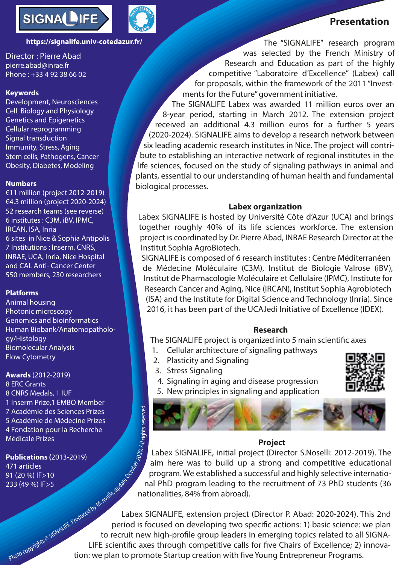

### **https://signalife.univ-cotedazur.fr/**

Director : Pierre Abad pierre.abad@inrae.fr Phone : +33 4 92 38 66 02

### **Keywords**

Development, Neurosciences Cell Biology and Physiology Genetics and Epigenetics Cellular reprogramming Signal transduction Immunity, Stress, Aging Stem cells, Pathogens, Cancer Obesity, Diabetes, Modeling

#### **Numbers**

and CAL Anu- Cancer Center<br>550 members, 230 researchers €11 million (project 2012-2019) €4.3 million (project 2020-2024) 52 research teams (see reverse) 6 institutes : C3M, iBV, IPMC, IRCAN, ISA, Inria 6 sites in Nice & Sophia Antipolis 7 Institutions : Inserm, CNRS, INRAE, UCA, Inria, Nice Hospital and CAL Anti- Cancer Center

## **Platforms**

**Platforms**<br>Animal housing Photonic microscopy Genomics and bioinformatics Human Biobank/Anatomopathology/Histology Biomolecular Analysis Flow Cytometry

> **Awards** (2012-2019) 8 ERC Grants<br>8 CNRS Medals, 1 IUF 8 CNRS Medals, 1 IUF 1 Inserm Prize,1 EMBO Member 7 Académie des Sciences Prizes 5 Académie de Médecine Prizes 4 Fondation pour la Recherche Médicale Prizes Photo copyrights © SCRIMTE Produced by M. Avella, UPE Sciences Prizes<br>
> Aédicale Prizes<br>
> Publications (2013-2019)<br>
> 171 articles<br>
> 120 %) IF>5<br>
> 23 (49 %) IF>5<br>
> 23 (49 %) IF>5<br>
> 23 (49 %) IF>5<br>
> 23 (49 %) IF>5<br>
> 23 (49 %) IF>5<br>
> 2

**Publications (**2013-2019) 471 articles 91 (20 %) IF>10 233 (49 %) IF>5

The "SIGNALIFE" research program was selected by the French Ministry of

 **Presentation**

Research and Education as part of the highly competitive "Laboratoire d'Excellence" (Labex) call for proposals, within the framework of the 2011 "Investments for the Future" government initiative.

The SIGNALIFE Labex was awarded 11 million euros over an 8-year period, starting in March 2012. The extension project received an additional 4.3 million euros for a further 5 years (2020-2024). SIGNALIFE aims to develop a research network between six leading academic research institutes in Nice. The project will contribute to establishing an interactive network of regional institutes in the life sciences, focused on the study of signaling pathways in animal and plants, essential to our understanding of human health and fundamental biological processes.

### **Labex organization**

Labex SIGNALIFE is hosted by Université Côte d'Azur (UCA) and brings together roughly 40% of its life sciences workforce. The extension project is coordinated by Dr. Pierre Abad, INRAE Research Director at the Institut Sophia AgroBiotech.

SIGNALIFE is composed of 6 research institutes : Centre Méditerranéen de Médecine Moléculaire (C3M), Institut de Biologie Valrose (iBV), Institut de Pharmacologie Moléculaire et Cellulaire (IPMC), Institute for Research Cancer and Aging, Nice (IRCAN), Institut Sophia Agrobiotech (ISA) and the Institute for Digital Science and Technology (Inria). Since 2016, it has been part of the UCAJedi Initiative of Excellence (IDEX).

# **Research**

The SIGNALIFE project is organized into 5 main scientific axes

- 1. Cellular architecture of signaling pathways
- 2. Plasticity and Signaling
- 3. Stress Signaling
- 4. Signaling in aging and disease progression



5. New principles in signaling and application



### **Project**

Labex SIGNALIFE, initial project (Director S.Noselli: 2012-2019). The aim here was to build up a strong and competitive educational program. We established a successful and highly selective international PhD program leading to the recruitment of 73 PhD students (36 nationalities, 84% from abroad).

Labex SIGNALIFE, extension project (Director P. Abad: 2020-2024). This 2nd period is focused on developing two specific actions: 1) basic science: we plan to recruit new high-profile group leaders in emerging topics related to all SIGNA-LIFE scientific axes through competitive calls for five Chairs of Excellence; 2) innovation: we plan to promote Startup creation with five Young Entrepreneur Programs.